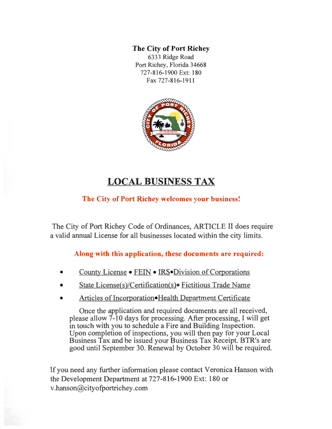### **The City of Port Richey**

6333 Ridge Road Port Richey, Florida 34668 727-816-1900 Ext: 180 Fax 727-816-1911



# **LOCAL BUSINESS TAX**

## **The City of Port Richey welcomes your business!**

The City of Port Richey Code of Ordinances, ARTICLE II does require a valid annual License for all businesses located within the city limits.

### **Along with this application, these documents are required:**

- County License FEIN IRS• Division of Corporations
- State License(s)/Certification(s)• Fictitious Trade Name
- Articles of Incorporation•Health Department Certificate

Once the application and required documents are all received, please allow 7-10 days for processing. After processing, I will get in touch with you to schedule a Fire and Building Inspection. Upon completion of inspections, you will then pay for your Local Business Tax and be issued your Business Tax Receipt. BTR's are good until September 30. Renewal by October 30 will be required.

If you need any further information please contact Veronica Hanson with the Development Department at 727-816-1900 Ext: 180 or v.hanson@cityofportrichey .com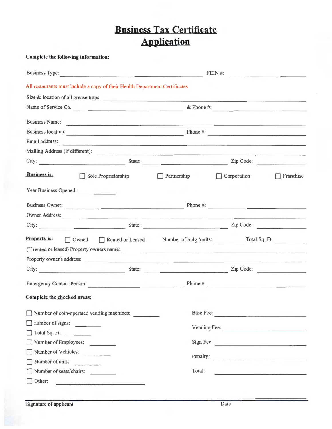# **Business Tax Certificate Application**

### Complete the following information:

| <b>Business Type:</b><br><u> 1980 - Jan Berlin, Amerikaansk politiker († 1908)</u> |                                      | FENW #:      |                                                                                                                        |  |  |
|------------------------------------------------------------------------------------|--------------------------------------|--------------|------------------------------------------------------------------------------------------------------------------------|--|--|
| All restaurants must include a copy of their Health Department Certificates        |                                      |              |                                                                                                                        |  |  |
| Size & location of all grease traps:                                               |                                      |              |                                                                                                                        |  |  |
|                                                                                    | Name of Service Co.                  |              |                                                                                                                        |  |  |
| <b>Business Name:</b>                                                              |                                      |              |                                                                                                                        |  |  |
| Business location:                                                                 | Phone $\#$ :                         |              |                                                                                                                        |  |  |
| Email address:                                                                     |                                      |              |                                                                                                                        |  |  |
| Mailing Address (if different):                                                    |                                      |              |                                                                                                                        |  |  |
| City:                                                                              | State: <u>Zip Code:</u>              |              |                                                                                                                        |  |  |
| <b>Business is:</b><br>Sole Proprietorship                                         | Partnership                          | Corporation  | Franchise                                                                                                              |  |  |
| Year Business Opened:                                                              |                                      |              |                                                                                                                        |  |  |
| Business Owner:                                                                    |                                      | Phone $\#$ : |                                                                                                                        |  |  |
| Owner Address:                                                                     |                                      |              |                                                                                                                        |  |  |
| City: <u>City:</u> State: <u>City: Zip Code:</u> Zip Code:                         |                                      |              |                                                                                                                        |  |  |
| <b>Property is:</b><br>Owned Rented or Leased                                      | Number of bldg./units: Total Sq. Ft. |              |                                                                                                                        |  |  |
| (If rented or leased) Property owners name:                                        |                                      |              |                                                                                                                        |  |  |
| Property owner's address:                                                          |                                      |              |                                                                                                                        |  |  |
| City: State:                                                                       |                                      | Zip Code:    |                                                                                                                        |  |  |
| Emergency Contact Person:                                                          |                                      | Phone $\#$ : |                                                                                                                        |  |  |
| Complete the checked areas:                                                        |                                      |              |                                                                                                                        |  |  |
| Number of coin-operated vending machines:                                          | Base Fee:                            |              |                                                                                                                        |  |  |
| number of signs:                                                                   |                                      | Vending Fee: |                                                                                                                        |  |  |
| $\Box$ Total Sq. Et.                                                               |                                      |              |                                                                                                                        |  |  |
| Number of Employees:                                                               | Sign Fee                             |              |                                                                                                                        |  |  |
| Number of Vehicles:                                                                | Penalty:                             |              |                                                                                                                        |  |  |
| Number of units:                                                                   |                                      |              | <u>s ann an chaile ann an chaile an chaile.</u>                                                                        |  |  |
| Number of seats/chairs:                                                            | Total:                               |              | <u> - Andreas Andreas Andreas Andreas Andreas Andreas Andreas Andreas Andreas Andreas Andreas Andreas Andreas Andr</u> |  |  |
| Other:<br>$\overline{1}$                                                           |                                      |              |                                                                                                                        |  |  |